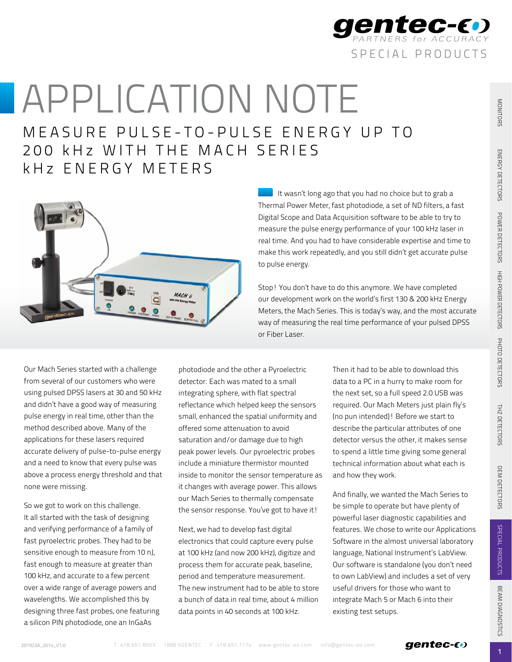

MEASURE PULSE-TO-PULSE ENERGY UP TO 200 kHz WITH THE MACH SERIES k H z ENERGY METERS



It wasn't long ago that you had no choice but to grab a Thermal Power Meter, fast photodiode, a set of ND filters, a fast Digital Scope and Data Acquisition software to be able to try to measure the pulse energy performance of your 100 kHz laser in real time. And you had to have considerable expertise and time to make this work repeatedly, and you still didn't get accurate pulse to pulse energy.

Stop! You don't have to do this anymore. We have completed our development work on the world's first 130 & 200 kHz Energy Meters, the Mach Series. This is today's way, and the most accurate way of measuring the real time performance of your pulsed DPSS or Fiber Laser.

Our Mach Series started with a challenge from several of our customers who were using pulsed DPSS lasers at 30 and 50 kHz and didn't have a good way of measuring pulse energy in real time, other than the method described above. Many of the applications for these lasers required accurate delivery of pulse-to-pulse energy and a need to know that every pulse was above a process energy threshold and that none were missing.

So we got to work on this challenge. It all started with the task of designing and verifying performance of a family of fast pyroelectric probes. They had to be sensitive enough to measure from 10 nJ, fast enough to measure at greater than 100 kHz, and accurate to a few percent over a wide range of average powers and wavelengths. We accomplished this by designing three fast probes, one featuring a silicon PIN photodiode, one an InGaAs

photodiode and the other a Pyroelectric detector. Each was mated to a small integrating sphere, with flat spectral reflectance which helped keep the sensors small, enhanced the spatial uniformity and offered some attenuation to avoid saturation and/or damage due to high peak power levels. Our pyroelectric probes include a miniature thermistor mounted inside to monitor the sensor temperature as it changes with average power. This allows our Mach Series to thermally compensate the sensor response. You've got to have it!

Next, we had to develop fast digital electronics that could capture every pulse at 100 kHz (and now 200 kHz), digitize and process them for accurate peak, baseline, period and temperature measurement. The new instrument had to be able to store a bunch of data in real time, about 4 million data points in 40 seconds at 100 kHz.

Then it had to be able to download this data to a PC in a hurry to make room for the next set, so a full speed 2.0 USB was required. Our Mach Meters just plain fly's (no pun intended)! Before we start to describe the particular attributes of one detector versus the other, it makes sense to spend a little time giving some general technical information about what each is and how they work.

And finally, we wanted the Mach Series to be simple to operate but have plenty of powerful laser diagnostic capabilities and features. We chose to write our Applications Software in the almost universal laboratory language, National Instrument's LabView. Our software is standalone (you don't need to own LabView) and includes a set of very useful drivers for those who want to integrate Mach 5 or Mach 6 into their existing test setups.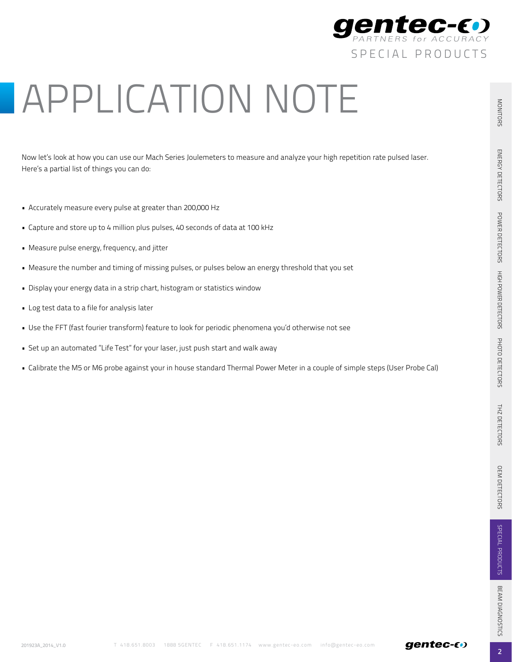

Now let's look at how you can use our Mach Series Joulemeters to measure and analyze your high repetition rate pulsed laser. Here's a partial list of things you can do:

- Accurately measure every pulse at greater than 200,000 Hz
- Capture and store up to 4 million plus pulses, 40 seconds of data at 100 kHz
- • Measure pulse energy, frequency, and jitter
- Measure the number and timing of missing pulses, or pulses below an energy threshold that you set
- Display your energy data in a strip chart, histogram or statistics window
- • Log test data to a file for analysis later
- Use the FFT (fast fourier transform) feature to look for periodic phenomena you'd otherwise not see
- Set up an automated "Life Test" for your laser, just push start and walk away
- • Calibrate the M5 or M6 probe against your in house standard Thermal Power Meter in a couple of simple steps (User Probe Cal)

 $\overline{2}$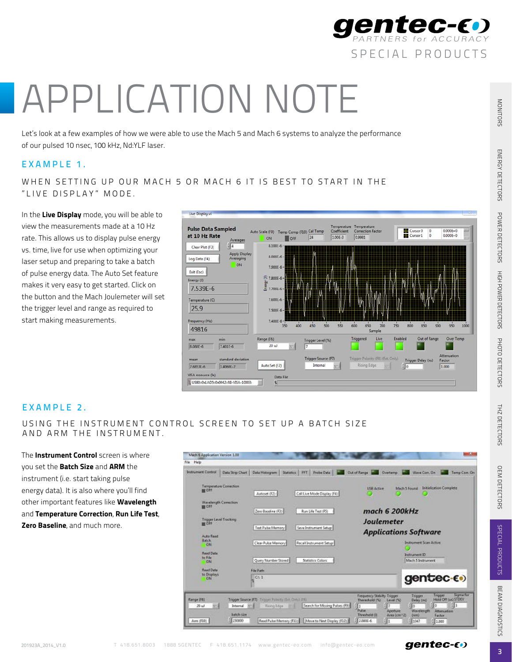

Let's look at a few examples of how we were able to use the Mach 5 and Mach 6 systems to analyze the performance of our pulsed 10 nsec, 100 kHz, Nd:YLF laser.

#### EXAMPLE 1.

WHEN SETTING UP OUR MACH 5 OR MACH 6 IT IS BEST TO START IN THE " LIVE DISPLAY" MODE.

In the Live Display mode, you will be able to view the measurements made at a 10 Hz rate. This allows us to display pulse energy vs. time, live for use when optimizing your laser setup and preparing to take a batch of pulse energy data. The Auto Set feature makes it very easy to get started. Click on the button and the Mach Joulemeter will set the trigger level and range as required to start making measurements.



# EXAMPLE 2.

USING THE INSTRUMENT CONTROL SCREEN TO SET UP A BATCH SIZE AND ARM THE INSTRUMENT.

The **Instrument Control** screen is where you set the **Batch Size** and **ARM** the instrument (i.e. start taking pulse energy data). It is also where you'll find other important features like **Wavelength** and Temperature Correction, Run Life Test, Zero Baseline, and much more.



OEM DETECTORS

 $\overline{3}$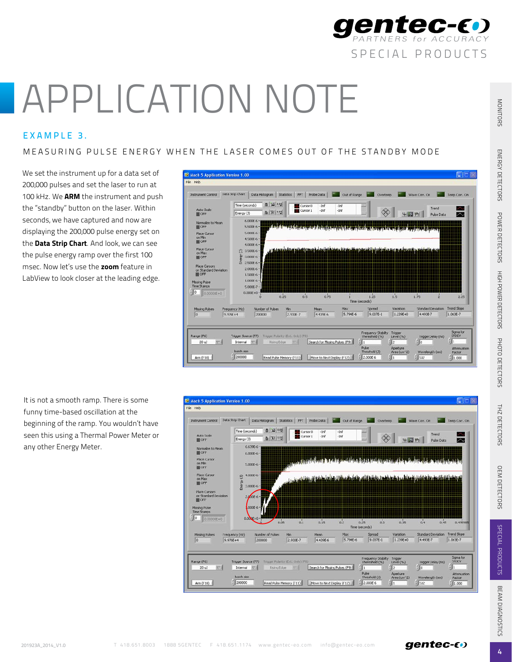

### EXAMPLE 3.

### MEASURING PULSE ENERGY WHEN THE LASER COMES OUT OF THE STANDBY MODE

We set the instrument up for a data set of 200,000 pulses and set the laser to run at 100 kHz. We ARM the instrument and push the "standby" button on the laser. Within seconds, we have captured and now are displaying the 200,000 pulse energy set on the Data Strip Chart. And look, we can see the pulse energy ramp over the first 100 msec. Now let's use the zoom feature in LabView to look closer at the leading edge.



It is not a smooth ramp. There is some funny time-based oscillation at the beginning of the ramp. You wouldn't have seen this using a Thermal Power Meter or any other Energy Meter.



4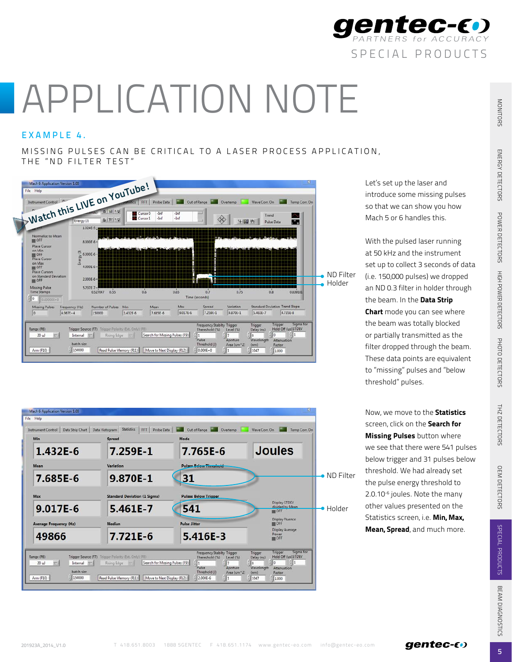

# EXAMPLE 4.

MISSING PULSES CAN BE CRITICAL TO A LASER PROCESS APPLICATION, THE "ND FILTER TEST"



Mach 6 As File Hale Instrument Control | Data Strip Chart | Data Histogram | Statistics | FFT | Probe Data | 20 | Out of Range | 2 | Overtemp | Wave Corr. On | Temp Corr. On **Joules** 1.432E-6 7.259E-1 7.765E-6 Mean Variation Pulses Relaw Threshold ND Filter 7.685E-6 9.870E-1 31 **Pulses Below Trigger Standard Deviation (1 Sigma)** Max day STDEV 9.017E-6 5.461E-7 541 HolderDisplay Fluence<br>
In OFF Average Frequency (Hz) .<br>Median Pulse Jitter Display<br>Power<br>III OFF 49866 7.721E-6 5.416E-3 Trigger Sigma<br>Hold Off (us) STDEV Range (F6) Trigger Source (F7) Trigger Polarity Internal  $\equiv$ Rising Edge Search for Missing Pulses (F9) batch size Factor Arm (F10)  $^{+1}_{-1}$  150000 Read Pulse Memory (F11) Move to Next Display (F12) (2000E-6

Let's set up the laser and introduce some missing pulses so that we can show you how Mach 5 or 6 handles this.

With the pulsed laser running at 50 kHz and the instrument set up to collect 3 seconds of data (i.e. 150,000 pulses) we dropped an ND 0.3 filter in holder through the beam. In the Data Strip Chart mode you can see where the beam was totally blocked or partially transmitted as the filter dropped through the beam. These data points are equivalent to "missing" pulses and "below threshold" pulses.

Now, we move to the **Statistics** screen, click on the Search for **Missing Pulses** button where we see that there were 541 pulses below trigger and 31 pulses below threshold. We had already set the pulse energy threshold to 2.0.10-6 joules. Note the many other values presented on the Statistics screen, i.e. Min, Max, Mean, Spread, and much more.

OEM DETECTORS

5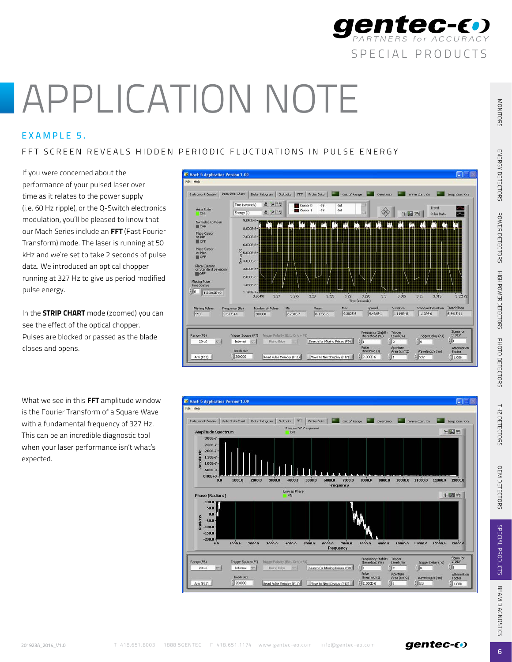

# Exampl e 5 .

# FFT SCREEN REVEALS HIDDEN PERIODIC FLUCTUATIONS IN PULSE ENERGY

If you were concerned about the performance of your pulsed laser over time as it relates to the power supply (i.e. 60 Hz ripple), or the Q-Switch electronics modulation, you'll be pleased to know that our Mach Series include an FFT (Fast Fourier Transform) mode. The laser is running at 50 kHz and we're set to take 2 seconds of pulse data. We introduced an optical chopper running at 327 Hz to give us period modified pulse energy.

In the **STRIP CHART** mode (zoomed) you can see the effect of the optical chopper. Pulses are blocked or passed as the blade closes and opens.

What we see in this FFT amplitude window is the Fourier Transform of a Square Wave with a fundamental frequency of 327 Hz. This can be an incredible diagnostic tool when your laser performance isn't what's expected.





OEM DETECTORS

 $6<sup>1</sup>$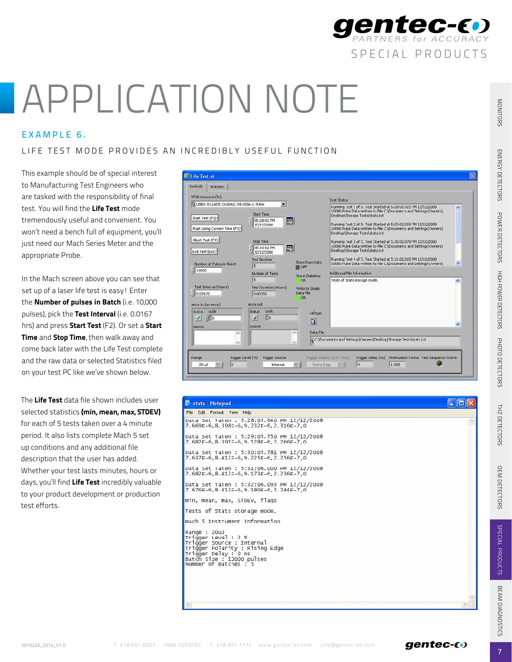

### EXAMPLE 6.

### LIFE TEST MODE PROVIDES AN INCREDIBLY USEFUL FUNCTION

This example should be of special interest to Manufacturing Test Engineers who are tasked with the responsibility of final test. You will find the Life Test mode tremendously useful and convenient. You won't need a bench full of equipment, you'll just need our Mach Series Meter and the appropriate Probe.

In the Mach screen above you can see that set up of a laser life test is easy! Enter the Number of pulses in Batch (i.e. 10,000 pulses), pick the Test Interval (i.e. 0.0167 hrs) and press **Start Test** (F2). Or set a **Start** Time and Stop Time, then walk away and come back later with the Life Test complete and the raw data or selected Statistics filed on your test PC like we've shown below.

The Life Test data file shown includes user selected statistics (min, mean, max, STDEV) for each of 5 tests taken over a 4 minute period. It also lists complete Mach 5 set up conditions and any additional file description that the user has added. Whether your test lasts minutes, hours or days, you'll find Life Test incredibly valuable to your product development or production test efforts.



| Stats - Notepad                                                                                                                                                                 |  |
|---------------------------------------------------------------------------------------------------------------------------------------------------------------------------------|--|
| File Edit Format Vew Help                                                                                                                                                       |  |
| Data Set Taken: 5:28:05.640 PM 12/12/2008<br>7.669E-6, 8.398E-6, 9.232E-6, 2.316E-7, 0                                                                                          |  |
| Data Set Taken : 5:29:05.750 PM 12/12/2008<br>7.682F-6.8.391=-6.9.128F-6.2.266F-7.0                                                                                             |  |
| Data Set Taken : 5:30:05.781 PM 12/12/2008<br>7.637E-6.8.412E-6.9.225E-6.2.256E-7.0                                                                                             |  |
| Data Set Taken: 5:31:06.000 PM 12/12/2008<br>7.682E-6, 8.412E-6, 9.173E-6, 2.236E-7, 0                                                                                          |  |
| Data Set Taken : 5:32:06.093 PM 12/12/2008<br>7.676E-6, 8.413E-6, 9.180E-6, 2.244E-7, 0                                                                                         |  |
| min, mean, max, STDEV, flags                                                                                                                                                    |  |
| Tests of Stats storage mode.                                                                                                                                                    |  |
| mach 5 Instrument Information                                                                                                                                                   |  |
| Range : 20uJ<br>Trigger Level: 2 %<br>Trigger Source : Internal<br>Trigger Polarity : Rising Edge<br>Trigger Delay : 0 ns<br>Batch Size : 10000 pulses<br>Number of Batches : 5 |  |
|                                                                                                                                                                                 |  |
|                                                                                                                                                                                 |  |
|                                                                                                                                                                                 |  |

special products

**gentec-E** 

OEM DETECTORS

 $\overline{7}$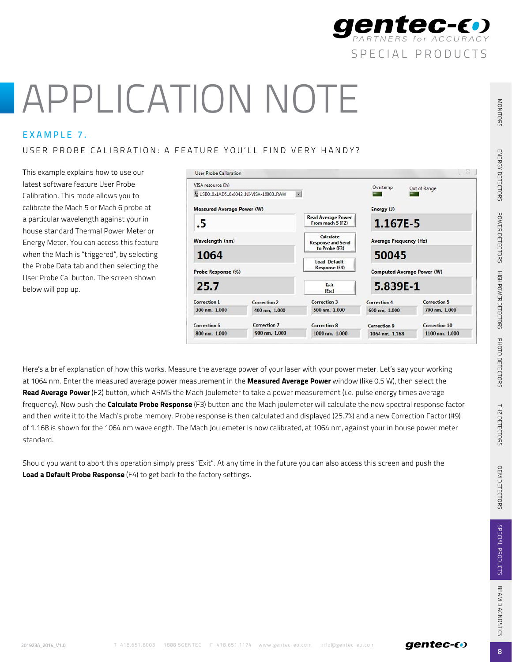

### EXAMPLE 7.

#### USER PROBE CALIBRATION: A FEATURE YOU'LL FIND VERY HANDY?

This example explains how to use our latest software feature User Probe Calibration. This mode allows you to calibrate the Mach 5 or Mach 6 probe at a particular wavelength against your in house standard Thermal Power Meter or Energy Meter. You can access this feature when the Mach is "triggered", by selecting the Probe Data tab and then selecting the User Probe Cal button. The screen shown below will pop up.

| VISA resource (In)                |                                                              |                                                        | Overtemp                          |                     |
|-----------------------------------|--------------------------------------------------------------|--------------------------------------------------------|-----------------------------------|---------------------|
|                                   | $\blacksquare$<br>% USB0::0x1AD5::0x0042::NI-VISA-10003::RAW |                                                        |                                   | Out of Range        |
| <b>Measured Average Power (W)</b> |                                                              |                                                        | Energy (J)                        |                     |
| .5                                |                                                              | <b>Read Average Power</b><br>From mach 5 (F2)          | 1.167E-5                          |                     |
| Wavelength (nm)                   |                                                              | Calculate<br><b>Response and Send</b><br>to Probe (F3) | Average Frequency (Hz)            |                     |
| 1064                              |                                                              |                                                        | 50045                             |                     |
|                                   |                                                              | <b>Load Default</b><br><b>Response (F4)</b>            |                                   |                     |
| Probe Response (%)                |                                                              |                                                        | <b>Computed Average Power (W)</b> |                     |
| 25.7                              |                                                              | Exit<br>(F <sub>SC</sub> )                             | 5.839E-1                          |                     |
| Correction 1                      | Correction <sub>2</sub>                                      | Correction 3                                           | Correction 4                      | <b>Correction 5</b> |
| 300 nm. 1.000                     | 400 nm. 1,000                                                | 500 nm. 1.000                                          | 600 nm, 1.000                     | 700 nm. 1,000       |
| <b>Correction 6</b>               | Correction 7                                                 | <b>Correction 8</b>                                    | <b>Correction 9</b>               | Correction 10       |
| 800 nm. 1,000                     | 900 nm. 1.000                                                | 1000 nm. 1.000                                         | 1064 nm. 1.168                    | 1100 nm. 1.000      |

Here's a brief explanation of how this works. Measure the average power of your laser with your power meter. Let's say your working at 1064 nm. Enter the measured average power measurement in the Measured Average Power window (like 0.5 W), then select the Read Average Power (F2) button, which ARMS the Mach Joulemeter to take a power measurement (i.e. pulse energy times average frequency). Now push the **Calculate Probe Response** (F3) button and the Mach joulemeter will calculate the new spectral response factor and then write it to the Mach's probe memory. Probe response is then calculated and displayed (25.7%) and a new Correction Factor (#9) of 1.168 is shown for the 1064 nm wavelength. The Mach Joulemeter is now calibrated, at 1064 nm, against your in house power meter standard.

Should you want to abort this operation simply press "Exit". At any time in the future you can also access this screen and push the Load a Default Probe Response (F4) to get back to the factory settings.

special products

**MTEC-E** 

8